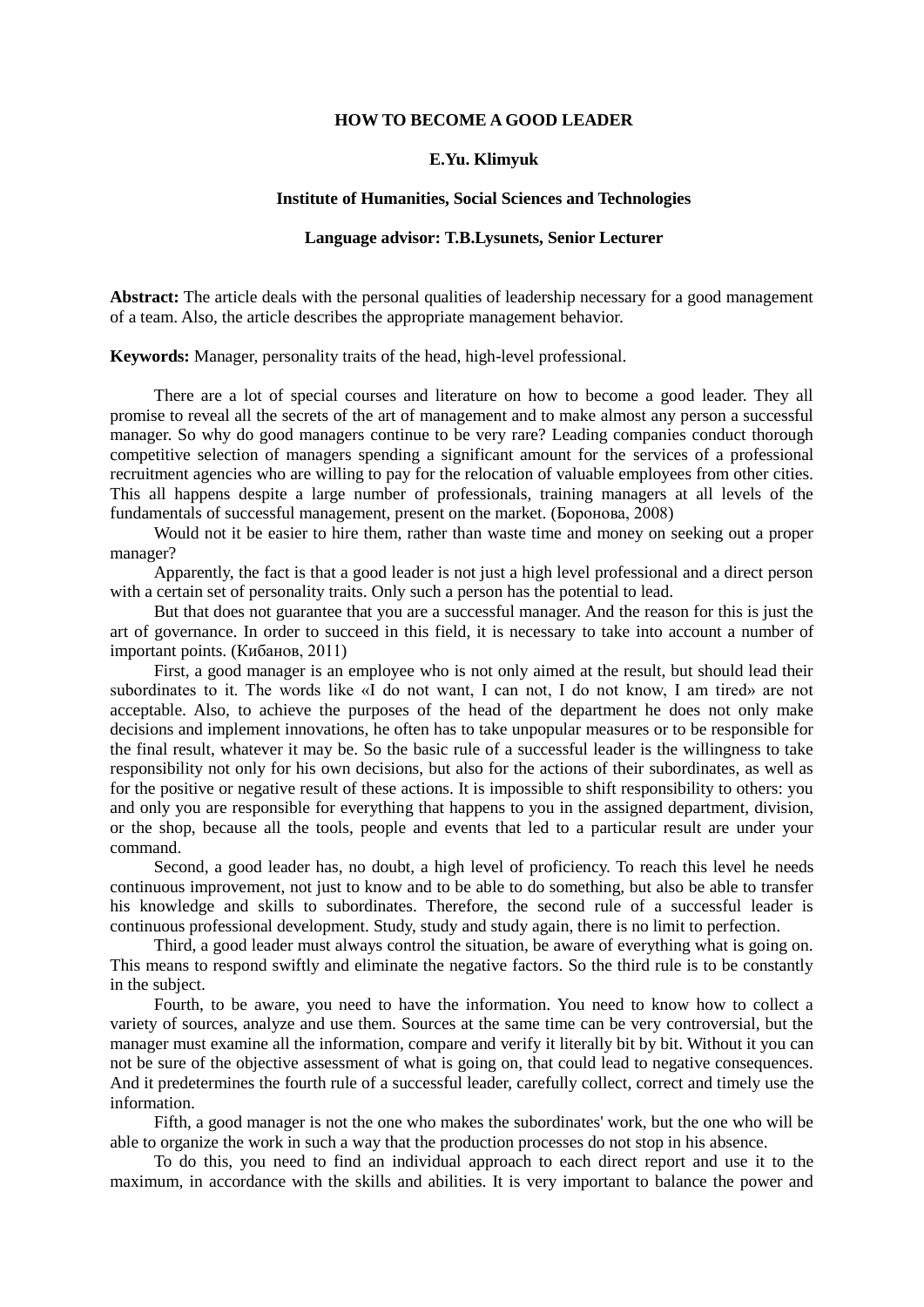#### **HOW TO BECOME A GOOD LEADER**

# **E.Yu. Klimyuk**

# **Institute of Humanities, Social Sciences and Technologies**

# **Language advisor: T.B.Lysunets, Senior Lecturer**

**Abstract:** The article deals with the personal qualities of leadership necessary for a good management of a team. Also, the article describes the appropriate management behavior.

**Keywords:** Manager, personality traits of the head, high-level professional.

There are a lot of special courses and literature on how to become a good leader. They all promise to reveal all the secrets of the art of management and to make almost any person a successful manager. So why do good managers continue to be very rare? Leading companies conduct thorough competitive selection of managers spending a significant amount for the services of a professional recruitment agencies who are willing to pay for the relocation of valuable employees from other cities. This all happens despite a large number of professionals, training managers at all levels of the fundamentals of successful management, present on the market. (Боронова, 2008)

Would not it be easier to hire them, rather than waste time and money on seeking out a proper manager?

Apparently, the fact is that a good leader is not just a high level professional and a direct person with a certain set of personality traits. Only such a person has the potential to lead.

But that does not guarantee that you are a successful manager. And the reason for this is just the art of governance. In order to succeed in this field, it is necessary to take into account a number of important points. (Кибанов, 2011)

First, a good manager is an employee who is not only aimed at the result, but should lead their subordinates to it. The words like «I do not want, I can not, I do not know, I am tired» are not acceptable. Also, to achieve the purposes of the head of the department he does not only make decisions and implement innovations, he often has to take unpopular measures or to be responsible for the final result, whatever it may be. So the basic rule of a successful leader is the willingness to take responsibility not only for his own decisions, but also for the actions of their subordinates, as well as for the positive or negative result of these actions. It is impossible to shift responsibility to others: you and only you are responsible for everything that happens to you in the assigned department, division, or the shop, because all the tools, people and events that led to a particular result are under your command.

Second, a good leader has, no doubt, a high level of proficiency. To reach this level he needs continuous improvement, not just to know and to be able to do something, but also be able to transfer his knowledge and skills to subordinates. Therefore, the second rule of a successful leader is continuous professional development. Study, study and study again, there is no limit to perfection.

Third, a good leader must always control the situation, be aware of everything what is going on. This means to respond swiftly and eliminate the negative factors. So the third rule is to be constantly in the subject.

Fourth, to be aware, you need to have the information. You need to know how to collect a variety of sources, analyze and use them. Sources at the same time can be very controversial, but the manager must examine all the information, compare and verify it literally bit by bit. Without it you can not be sure of the objective assessment of what is going on, that could lead to negative consequences. And it predetermines the fourth rule of a successful leader, carefully collect, correct and timely use the information.

Fifth, a good manager is not the one who makes the subordinates' work, but the one who will be able to organize the work in such a way that the production processes do not stop in his absence.

To do this, you need to find an individual approach to each direct report and use it to the maximum, in accordance with the skills and abilities. It is very important to balance the power and